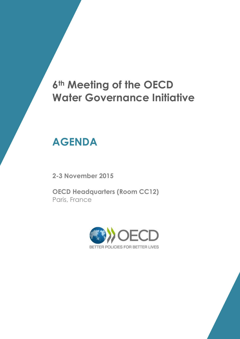# **6th Meeting of the OECD Water Governance Initiative**

# **AGENDA**

**2-3 November 2015**

**OECD Headquarters (Room CC12)** Paris, France



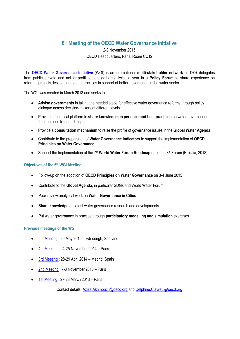## **6 th Meeting of the OECD Water Governance Initiative**

### 2-3 November 2015 OECD Headquarters, Paris, Room CC12

The **[OECD Water Governance Initiative](http://www.oecd.org/gov/regional-policy/OECD-WGI-Brochure.pdf)** (WGI) is an international **multi-stakeholder network** of 120+ delegates from public, private and not-for-profit sectors gathering twice a year in a **Policy Forum** to share experience on reforms, projects, lessons and good practices in support of better governance in the water sector.

The WGI was created in March 2013 and seeks to:

- **Advise governments** in taking the needed steps for effective water governance reforms through policy dialogue across decision-makers at different levels
- Provide a technical platform to **share knowledge, experience and best practices** on water governance through peer-to-peer dialogue
- Provide a **consultation mechanism** to raise the profile of governance issues in the **Global Water Agenda**
- Contribute to the preparation of **Water Governance Indicators** to support the implementation of **OECD Principles on Water Governance**
- Support the Implementation of the 7<sup>th</sup> World Water Forum Roadmap up to the 8<sup>th</sup> Forum (Brasilia, 2018)

### **Objectives of the 6 th WGI Meeting**

- Follow-up on the adoption of **OECD Principles on Water Governance** on 3-4 June 2015
- Contribute to the **Global Agenda**, in particular SDGs and World Water Forum
- Peer-review analytical work on **Water Governance in Cities**
- **Share knowledge** on latest water governance research and developments
- Put water governance in practice through **participatory modelling and simulation** exercises

#### **Previous meetings of the WGI**

- [5th Meeting](http://www.oecd.org/gov/regional-policy/water-governance-initiative-meeting-5.htm) : 26 May 2015 Edinburgh, Scotland
- [4th Meeting](http://www.oecd.org/governance/regional-policy/water-governance-initiative-meeting-4.htm) : 24-25 November 2014 Paris
- [3rd Meeting](http://www.oecd.org/governance/regional-policy/water-governance-initiative-meeting-3.htm) : 28-29 April 2014 Madrid, Spain
- [2nd Meeting](http://www.oecd.org/governance/regional-policy/water-governance-initiative-meeting-2.htm) : 7-8 November 2013 Paris
- [1st Meeting](http://www.oecd.org/gov/regional-policy/water-governance-initiative-meeting-1.htm): 27-28 March 2013 Paris

Contact details: [Aziza.Akhmouch@oecd.org](mailto:Aziza.Akhmouch@oecd.org) an[d Delphine.Clavreul@oecd.org](mailto:Delphine.Clavreul@oecd.org)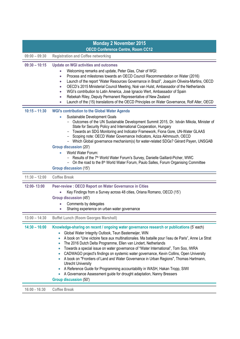| <b>Monday 2 November 2015</b> |                                                                                                                                                                                                                                                                                                                                                                                                                                                                                                                                                                                                                                                                                                                                                                                                                                                                  |
|-------------------------------|------------------------------------------------------------------------------------------------------------------------------------------------------------------------------------------------------------------------------------------------------------------------------------------------------------------------------------------------------------------------------------------------------------------------------------------------------------------------------------------------------------------------------------------------------------------------------------------------------------------------------------------------------------------------------------------------------------------------------------------------------------------------------------------------------------------------------------------------------------------|
| $09:00 - 09:30$               | <b>OECD Conference Centre, Room CC12</b><br><b>Registration and Coffee networking</b>                                                                                                                                                                                                                                                                                                                                                                                                                                                                                                                                                                                                                                                                                                                                                                            |
|                               |                                                                                                                                                                                                                                                                                                                                                                                                                                                                                                                                                                                                                                                                                                                                                                                                                                                                  |
| $09:30 - 10:15$               | <b>Update on WGI activities and outcomes</b><br>Welcoming remarks and update, Peter Glas, Chair of WGI:<br>Process and milestones towards an OECD Council Recommendation on Water (2016)<br>$\bullet$<br>Launch of the report "Water Resources Governance in Brazil", Joaquim Oliveira-Martins, OECD<br>$\bullet$<br>OECD's 2015 Ministerial Council Meeting, Noé van Hulst, Ambassador of the Netherlands<br>WGI's contribution to Latin America, José Ignacio Wert, Ambassador of Spain<br>$\bullet$<br>Rebekah Riley, Deputy Permanent Representative of New Zealand<br>$\bullet$<br>Launch of the (15) translations of the OECD Principles on Water Governance, Rolf Alter, OECD<br>$\bullet$                                                                                                                                                                |
| $10:15 - 11:30$               | <b>WGI's contribution to the Global Water Agenda</b><br>Sustainable Development Goals<br>$\bullet$<br>Outcomes of the UN Sustainable Development Summit 2015, Dr. István Mikola, Minister of<br>State for Security Policy and International Cooperation, Hungary<br>Towards an SDG Monitoring and Indicator Framework, Fiona Gore, UN-Water GLAAS<br>- Scoping note: OECD Water Governance Indicators, Aziza Akhmouch, OECD<br>- Which Global governance mechanism(s) for water-related SDGs? Gérard Payen, UNSGAB<br><b>Group discussion (20')</b><br>World Water Forum:<br>Results of the 7 <sup>th</sup> World Water Forum's Survey, Danielle Gaillard-Picher, WWC<br>On the road to the 8 <sup>th</sup> World Water Forum, Paulo Salles, Forum Organising Committee<br><b>Group discussion (15')</b>                                                         |
| $11:30 - 12:00$               | <b>Coffee Break</b>                                                                                                                                                                                                                                                                                                                                                                                                                                                                                                                                                                                                                                                                                                                                                                                                                                              |
| 12:00-13:00                   | Peer-review : OECD Report on Water Governance in Cities<br>Key Findings from a Survey across 48 cities, Oriana Romano, OECD (15')<br>Group discussion (45')<br>Comments by delegates<br>Sharing experience on urban water governance                                                                                                                                                                                                                                                                                                                                                                                                                                                                                                                                                                                                                             |
| $13:00 - 14:30$               | <b>Buffet Lunch (Room Georges Marshall)</b>                                                                                                                                                                                                                                                                                                                                                                                                                                                                                                                                                                                                                                                                                                                                                                                                                      |
| $14:30 - 16:00$               | Knowledge-sharing on recent / ongoing water governance research or publications (5' each)<br>Global Water Integrity Outlook, Teun Bastemeijer, WIN<br>$\bullet$<br>A book on "Une victoire face aux multinationales. Ma bataille pour l'eau de Paris", Anne Le Strat<br>The 2016 Dutch Delta Programme, Ellen van Lindert, Netherlands<br>Towards a special issue on water governance of "Water International", Tom Soo, IWRA<br>$\bullet$<br>CADWAGO project's findings on systemic water governance, Kevin Collins, Open University<br>A book on "Frontiers of Land and Water Governance in Urban Regions", Thomas Hartmann,<br><b>Utrecht University</b><br>A Reference Guide for Programming accountability in WASH, Hakan Tropp, SIWI<br>A Governance Assessment guide for drought adaptation, Nanny Bressers<br>$\bullet$<br><b>Group discussion (50')</b> |
| $16:00 - 16:30$               | <b>Coffee Break</b>                                                                                                                                                                                                                                                                                                                                                                                                                                                                                                                                                                                                                                                                                                                                                                                                                                              |